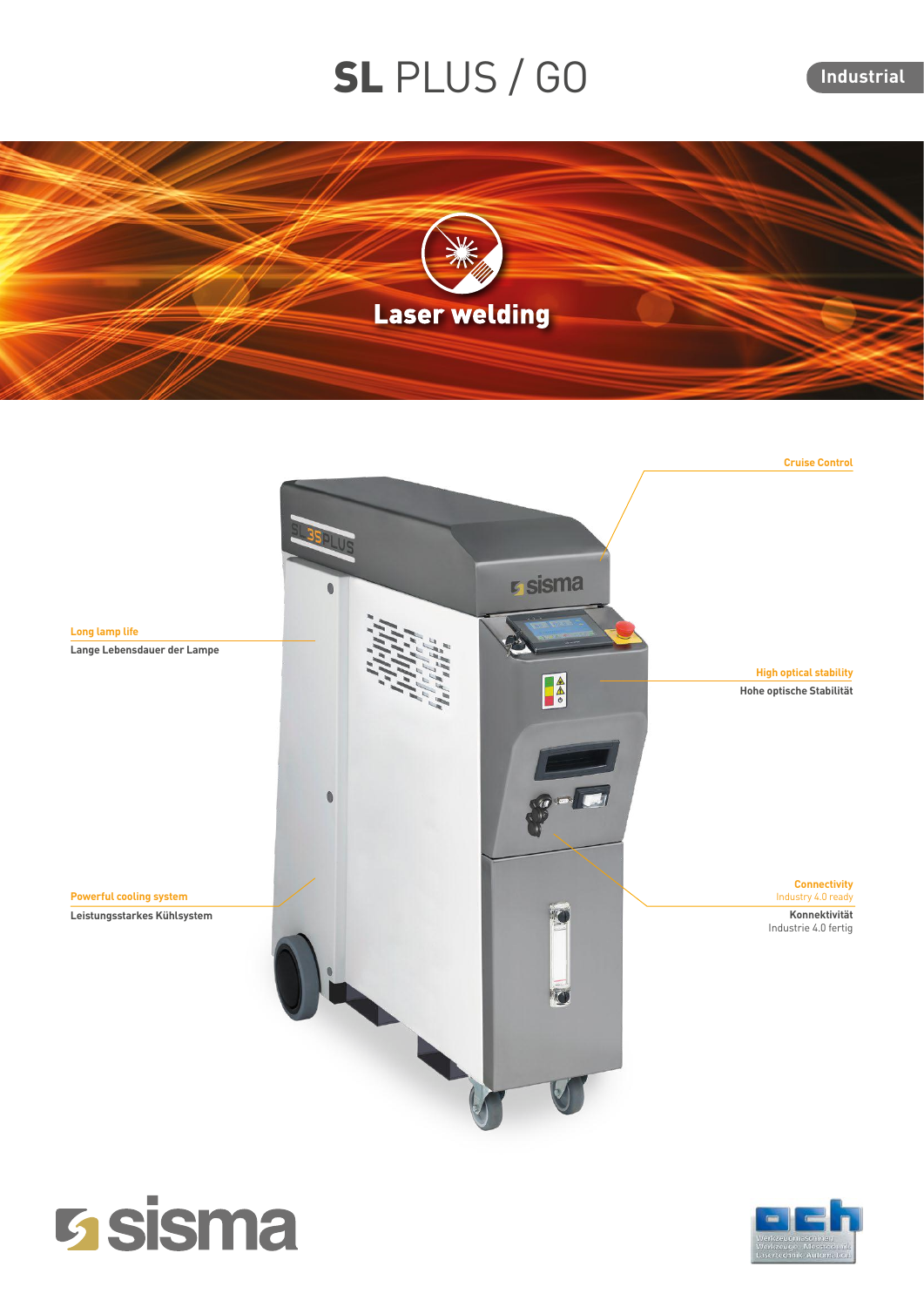## SL PLUS / GO

**Industrial**